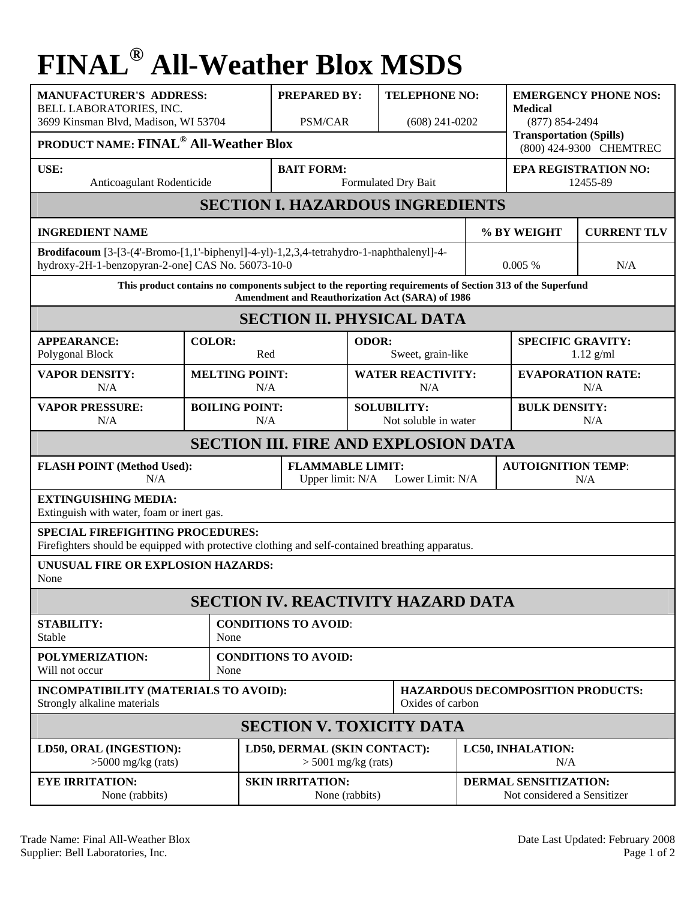## **FINAL® All-Weather Blox MSDS**

| <b>MANUFACTURER'S ADDRESS:</b><br>BELL LABORATORIES, INC.<br>3699 Kinsman Blvd, Madison, WI 53704<br><b>PRODUCT NAME: FINAL<sup>®</sup> All-Weather Blox</b>  |                      | <b>PREPARED BY:</b><br><b>PSM/CAR</b>     |                                                                 |  | <b>TELEPHONE NO:</b><br>$(608)$ 241-0202   |                                                      | <b>EMERGENCY PHONE NOS:</b><br><b>Medical</b><br>$(877) 854 - 2494$<br><b>Transportation (Spills)</b><br>(800) 424-9300 CHEMTREC |                    |  |
|---------------------------------------------------------------------------------------------------------------------------------------------------------------|----------------------|-------------------------------------------|-----------------------------------------------------------------|--|--------------------------------------------|------------------------------------------------------|----------------------------------------------------------------------------------------------------------------------------------|--------------------|--|
| USE:<br>Anticoagulant Rodenticide                                                                                                                             |                      |                                           | <b>BAIT FORM:</b><br>Formulated Dry Bait                        |  |                                            |                                                      | <b>EPA REGISTRATION NO:</b><br>12455-89                                                                                          |                    |  |
| <b>SECTION I. HAZARDOUS INGREDIENTS</b>                                                                                                                       |                      |                                           |                                                                 |  |                                            |                                                      |                                                                                                                                  |                    |  |
| <b>INGREDIENT NAME</b>                                                                                                                                        |                      |                                           |                                                                 |  |                                            |                                                      | % BY WEIGHT                                                                                                                      | <b>CURRENT TLV</b> |  |
| Brodifacoum [3-[3-(4'-Bromo-[1,1'-biphenyl]-4-yl)-1,2,3,4-tetrahydro-1-naphthalenyl]-4-<br>hydroxy-2H-1-benzopyran-2-one] CAS No. 56073-10-0                  |                      |                                           |                                                                 |  |                                            |                                                      | 0.005%                                                                                                                           | N/A                |  |
| This product contains no components subject to the reporting requirements of Section 313 of the Superfund<br>Amendment and Reauthorization Act (SARA) of 1986 |                      |                                           |                                                                 |  |                                            |                                                      |                                                                                                                                  |                    |  |
| <b>SECTION II. PHYSICAL DATA</b>                                                                                                                              |                      |                                           |                                                                 |  |                                            |                                                      |                                                                                                                                  |                    |  |
| <b>APPEARANCE:</b><br>Polygonal Block                                                                                                                         | <b>COLOR:</b><br>Red |                                           | ODOR:<br>Sweet, grain-like                                      |  |                                            | <b>SPECIFIC GRAVITY:</b><br>$1.12$ g/ml              |                                                                                                                                  |                    |  |
| <b>VAPOR DENSITY:</b><br>N/A                                                                                                                                  |                      | <b>MELTING POINT:</b><br>N/A              |                                                                 |  | <b>WATER REACTIVITY:</b><br>N/A            |                                                      | <b>EVAPORATION RATE:</b><br>N/A                                                                                                  |                    |  |
| <b>VAPOR PRESSURE:</b><br>N/A                                                                                                                                 |                      | <b>BOILING POINT:</b><br>N/A              |                                                                 |  | <b>SOLUBILITY:</b><br>Not soluble in water |                                                      | <b>BULK DENSITY:</b><br>N/A                                                                                                      |                    |  |
| <b>SECTION III. FIRE AND EXPLOSION DATA</b>                                                                                                                   |                      |                                           |                                                                 |  |                                            |                                                      |                                                                                                                                  |                    |  |
| <b>FLASH POINT (Method Used):</b><br>N/A                                                                                                                      |                      |                                           | <b>FLAMMABLE LIMIT:</b><br>Upper limit: N/A<br>Lower Limit: N/A |  |                                            |                                                      | <b>AUTOIGNITION TEMP:</b><br>N/A                                                                                                 |                    |  |
| <b>EXTINGUISHING MEDIA:</b><br>Extinguish with water, foam or inert gas.                                                                                      |                      |                                           |                                                                 |  |                                            |                                                      |                                                                                                                                  |                    |  |
| <b>SPECIAL FIREFIGHTING PROCEDURES:</b><br>Firefighters should be equipped with protective clothing and self-contained breathing apparatus.                   |                      |                                           |                                                                 |  |                                            |                                                      |                                                                                                                                  |                    |  |
| UNUSUAL FIRE OR EXPLOSION HAZARDS:<br>None                                                                                                                    |                      |                                           |                                                                 |  |                                            |                                                      |                                                                                                                                  |                    |  |
| SECTION IV. REACTIVITY HAZARD DATA                                                                                                                            |                      |                                           |                                                                 |  |                                            |                                                      |                                                                                                                                  |                    |  |
| <b>STABILITY:</b><br>Stable                                                                                                                                   |                      | <b>CONDITIONS TO AVOID:</b><br>None       |                                                                 |  |                                            |                                                      |                                                                                                                                  |                    |  |
| POLYMERIZATION:<br>Will not occur                                                                                                                             |                      | <b>CONDITIONS TO AVOID:</b><br>None       |                                                                 |  |                                            |                                                      |                                                                                                                                  |                    |  |
| INCOMPATIBILITY (MATERIALS TO AVOID):<br>Strongly alkaline materials                                                                                          |                      |                                           | Oxides of carbon                                                |  |                                            |                                                      | <b>HAZARDOUS DECOMPOSITION PRODUCTS:</b>                                                                                         |                    |  |
| <b>SECTION V. TOXICITY DATA</b>                                                                                                                               |                      |                                           |                                                                 |  |                                            |                                                      |                                                                                                                                  |                    |  |
| LD50, ORAL (INGESTION):<br>$>5000$ mg/kg (rats)                                                                                                               |                      |                                           | LD50, DERMAL (SKIN CONTACT):<br>$>$ 5001 mg/kg (rats)           |  |                                            | LC50, INHALATION:<br>N/A                             |                                                                                                                                  |                    |  |
| <b>EYE IRRITATION:</b><br>None (rabbits)                                                                                                                      |                      | <b>SKIN IRRITATION:</b><br>None (rabbits) |                                                                 |  |                                            | DERMAL SENSITIZATION:<br>Not considered a Sensitizer |                                                                                                                                  |                    |  |